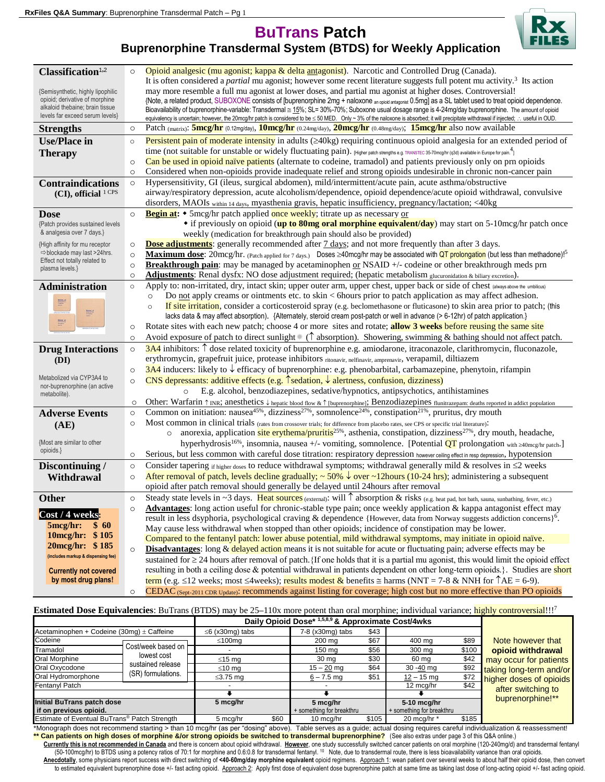**BuTrans Patch**



**Buprenorphine Transdermal System (BTDS) for Weekly Application**

| Classification <sup>1,2</sup>                                                                                                                                                                                                                                                                                                                                                                                     | $\circ$ | Opioid analgesic (mu agonist; kappa & delta antagonist). Narcotic and Controlled Drug (Canada).                                                                                                                                                                                                                                                               |
|-------------------------------------------------------------------------------------------------------------------------------------------------------------------------------------------------------------------------------------------------------------------------------------------------------------------------------------------------------------------------------------------------------------------|---------|---------------------------------------------------------------------------------------------------------------------------------------------------------------------------------------------------------------------------------------------------------------------------------------------------------------------------------------------------------------|
|                                                                                                                                                                                                                                                                                                                                                                                                                   |         | It is often considered a <i>partial</i> mu agonist; however some recent literature suggests full potent mu activity. <sup>3</sup> Its action                                                                                                                                                                                                                  |
| {Semisynthetic, highly lipophilic                                                                                                                                                                                                                                                                                                                                                                                 |         | may more resemble a full mu agonist at lower doses, and partial mu agonist at higher doses. Controversial!                                                                                                                                                                                                                                                    |
| opioid; derivative of morphine<br>alkaloid thebaine; brain tissue                                                                                                                                                                                                                                                                                                                                                 |         | {Note, a related product, SUBOXONE consists of [buprenorphine 2mg + naloxone an opioid antagonist 0.5mg] as a SL tablet used to treat opioid dependence.                                                                                                                                                                                                      |
| levels far exceed serum levels}                                                                                                                                                                                                                                                                                                                                                                                   |         | Bioavailability of buprenorphine-variable: Transdermal $\approx 15\%$ ; SL= 30%-70%; Suboxone usual dosage range is 4-24mg/day buprenorphine. The amount of opioid<br>equivalency is uncertain; however, the 20mcg/hr patch is considered to be ≤ 50 MED. Only ~ 3% of the naloxone is absorbed; it will precipitate withdrawal if injected; ∴ useful in OUD. |
| <b>Strengths</b>                                                                                                                                                                                                                                                                                                                                                                                                  | $\circ$ | Patch (matrix): <b>5mcg/hr</b> (0.12mg/day), <b>10mcg/hr</b> (0.24mg/day), <b>20mcg/hr</b> (0.48mg/day); <b>15mcg/hr</b> also now available                                                                                                                                                                                                                   |
| <b>Use/Place in</b>                                                                                                                                                                                                                                                                                                                                                                                               | $\circ$ | Persistent pain of moderate intensity in adults (≥40kg) requiring continuous opioid analgesia for an extended period of                                                                                                                                                                                                                                       |
| <b>Therapy</b>                                                                                                                                                                                                                                                                                                                                                                                                    |         | time (not suitable for unstable or widely fluctuating pain). [Higher patch strengths e.g. TRANSTEC 35-70mcg/hr (q3d) available in Europe for pain. <sup>4</sup> ]                                                                                                                                                                                             |
|                                                                                                                                                                                                                                                                                                                                                                                                                   | $\circ$ | Can be used in opioid naïve patients (alternate to codeine, tramadol) and patients previously only on prn opioids                                                                                                                                                                                                                                             |
|                                                                                                                                                                                                                                                                                                                                                                                                                   | $\circ$ | Considered when non-opioids provide inadequate relief and strong opioids undesirable in chronic non-cancer pain                                                                                                                                                                                                                                               |
| <b>Contraindications</b>                                                                                                                                                                                                                                                                                                                                                                                          | $\circ$ | Hypersensitivity, GI (ileus, surgical abdomen), mild/intermittent/acute pain, acute asthma/obstructive                                                                                                                                                                                                                                                        |
| $(CI)$ , official $1$ CPS                                                                                                                                                                                                                                                                                                                                                                                         |         | airway/respiratory depression, acute alcoholism/dependence, opioid dependence/acute opioid withdrawal, convulsive                                                                                                                                                                                                                                             |
|                                                                                                                                                                                                                                                                                                                                                                                                                   |         | disorders, MAOIs within 14 days, myasthenia gravis, hepatic insufficiency, pregnancy/lactation; <40kg                                                                                                                                                                                                                                                         |
| <b>Dose</b>                                                                                                                                                                                                                                                                                                                                                                                                       | $\circ$ | <b>Begin at:</b> • 5mcg/hr patch applied once weekly; titrate up as necessary or                                                                                                                                                                                                                                                                              |
| {Patch provides sustained levels                                                                                                                                                                                                                                                                                                                                                                                  |         | • if previously on opioid (up to 80mg oral morphine equivalent/day) may start on 5-10mcg/hr patch once                                                                                                                                                                                                                                                        |
| & analgesia over 7 days.}                                                                                                                                                                                                                                                                                                                                                                                         |         | weekly (medication for breakthrough pain should also be provided)                                                                                                                                                                                                                                                                                             |
| {High affinity for mu receptor                                                                                                                                                                                                                                                                                                                                                                                    | $\circ$ | <b>Dose adjustments:</b> generally recommended after 7 days; and not more frequently than after 3 days.                                                                                                                                                                                                                                                       |
| $\Rightarrow$ blockade may last >24hrs.<br>Effect not totally related to                                                                                                                                                                                                                                                                                                                                          | $\circ$ | Maximum dose: 20mcg/hr. (Patch applied for 7 days.) Doses ≥40mcg/hr may be associated with QT prolongation (but less than methadone)! <sup>5</sup>                                                                                                                                                                                                            |
| plasma levels.}                                                                                                                                                                                                                                                                                                                                                                                                   | $\circ$ | <b>Breakthrough pain:</b> may be managed by acetaminophen or NSAID $+/-$ codeine or other breakthrough meds prn                                                                                                                                                                                                                                               |
|                                                                                                                                                                                                                                                                                                                                                                                                                   | $\circ$ | Adjustments: Renal dysfx: NO dose adjustment required; (hepatic metabolism glucuronidation & biliary excretion).                                                                                                                                                                                                                                              |
| <b>Administration</b>                                                                                                                                                                                                                                                                                                                                                                                             | $\circ$ | Apply to: non-irritated, dry, intact skin; upper outer arm, upper chest, upper back or side of chest (always above the umbilicus)<br>Do not apply creams or ointments etc. to skin < 6hours prior to patch application as may affect adhesion.<br>$\circ$                                                                                                     |
| $\equiv$                                                                                                                                                                                                                                                                                                                                                                                                          |         | If site irritation, consider a corticosteroid spray (e.g. beclomethasone or fluticasone) to skin area prior to patch; (this<br>$\circ$                                                                                                                                                                                                                        |
| $\begin{tabular}{ c c } \hline $m$ & $c$ \\ \hline $m$ & $c$ \\ \hline $m$ & $c$ \\ \hline $m$ & $c$ \\ \hline $m$ & $c$ \\ \hline $m$ & $c$ \\ \hline $m$ & $c$ \\ \hline $m$ & $c$ \\ \hline $m$ & $c$ \\ \hline $m$ & $c$ \\ \hline $m$ & $c$ \\ \hline $m$ & $c$ \\ \hline $m$ & $c$ \\ \hline $m$ & $c$ \\ \hline $m$ & $c$ \\ \hline $m$ & $c$ \\ \hline $m$ & $c$ \\ \hline $m$ & $c$ \\ \hline $m$ & $c$$ |         | lacks data & may affect absorption). {Alternately, steroid cream post-patch or well in advance (> 6-12hr) of patch application.}                                                                                                                                                                                                                              |
| $\equiv$                                                                                                                                                                                                                                                                                                                                                                                                          | $\circ$ | Rotate sites with each new patch; choose 4 or more sites and rotate; allow 3 weeks before reusing the same site                                                                                                                                                                                                                                               |
|                                                                                                                                                                                                                                                                                                                                                                                                                   | $\circ$ | Avoid exposure of patch to direct sunlight $(\uparrow$ absorption). Showering, swimming & bathing should not affect patch.                                                                                                                                                                                                                                    |
| <b>Drug Interactions</b>                                                                                                                                                                                                                                                                                                                                                                                          | $\circ$ | $3A4$ inhibitors: $\uparrow$ dose related toxicity of buprenorphine e.g. amiodarone, itraconazole, clarithromycin, fluconazole,                                                                                                                                                                                                                               |
| (DI)                                                                                                                                                                                                                                                                                                                                                                                                              |         | erythromycin, grapefruit juice, protease inhibitors ritonavir, nelfinavir, amprenavir, verapamil, diltiazem                                                                                                                                                                                                                                                   |
|                                                                                                                                                                                                                                                                                                                                                                                                                   | $\circ$ | 3A4 inducers: likely to $\downarrow$ efficacy of buprenorphine: e.g. phenobarbital, carbamazepine, phenytoin, rifampin                                                                                                                                                                                                                                        |
| Metabolized via CYP3A4 to                                                                                                                                                                                                                                                                                                                                                                                         | $\circ$ | CNS depressants: additive effects (e.g. $\hat{\ }$ sedation, $\downarrow$ alertness, confusion, dizziness)                                                                                                                                                                                                                                                    |
| nor-buprenorphine (an active<br>metabolite).                                                                                                                                                                                                                                                                                                                                                                      |         | E.g. alcohol, benzodiazepines, sedative/hypnotics, antipsychotics, antihistamines<br>$\circ$                                                                                                                                                                                                                                                                  |
|                                                                                                                                                                                                                                                                                                                                                                                                                   | $\circ$ | Other: Warfarin $\uparrow$ INR; anesthetics $\downarrow$ hepatic blood flow & $\uparrow$ [buprenorphine]; Benzodiazepines flunitrazepam: deaths reported in addict population                                                                                                                                                                                 |
| <b>Adverse Events</b>                                                                                                                                                                                                                                                                                                                                                                                             | $\circ$ | Common on initiation: nausea <sup>45%</sup> , dizziness <sup>27%</sup> , somnolence <sup>24%</sup> , constipation <sup>21%</sup> , pruritus, dry mouth                                                                                                                                                                                                        |
| (AE)                                                                                                                                                                                                                                                                                                                                                                                                              | $\circ$ | Most common in clinical trials (rates from crossover trials; for difference from placebo rates, see CPS or specific trial literature).                                                                                                                                                                                                                        |
|                                                                                                                                                                                                                                                                                                                                                                                                                   |         | anorexia, application site erythema/pruritis <sup>25%</sup> , asthenia, constipation, dizziness <sup>27%</sup> , dry mouth, headache,<br>$\circ$                                                                                                                                                                                                              |
| {Most are similar to other<br>opioids.}                                                                                                                                                                                                                                                                                                                                                                           |         | hyperhydrosis <sup>16%</sup> , insomnia, nausea +/- vomiting, somnolence. [Potential $\overline{QT}$ prolongation with $\geq 40$ mcg/hr patch.]                                                                                                                                                                                                               |
|                                                                                                                                                                                                                                                                                                                                                                                                                   | $\circ$ | Serious, but less common with careful dose titration: respiratory depression however ceiling effect in resp depression, hypotension                                                                                                                                                                                                                           |
| Discontinuing /                                                                                                                                                                                                                                                                                                                                                                                                   | $\circ$ | Consider tapering if higher doses to reduce withdrawal symptoms; withdrawal generally mild & resolves in $\leq 2$ weeks                                                                                                                                                                                                                                       |
| Withdrawal                                                                                                                                                                                                                                                                                                                                                                                                        | $\circ$ | After removal of patch, levels decline gradually; $\sim 50\%$ $\downarrow$ over $\sim$ 12hours (10-24 hrs); administering a subsequent                                                                                                                                                                                                                        |
|                                                                                                                                                                                                                                                                                                                                                                                                                   |         | opioid after patch removal should generally be delayed until 24 hours after removal                                                                                                                                                                                                                                                                           |
| <b>Other</b>                                                                                                                                                                                                                                                                                                                                                                                                      | $\circ$ | Steady state levels in $\sim$ 3 days. Heat sources (external): will $\uparrow$ absorption & risks (e.g. heat pad, hot bath, sauna, sunbathing, fever, etc.)<br>Advantages: long action useful for chronic-stable type pain; once weekly application & kappa antagonist effect may                                                                             |
| Cost / 4 weeks:                                                                                                                                                                                                                                                                                                                                                                                                   | $\circ$ | result in less dsyphoria, psychological craving & dependence {However, data from Norway suggests addiction concerns} <sup>6</sup> .                                                                                                                                                                                                                           |
| $5 \text{mcg/hr}$ :<br>\$60                                                                                                                                                                                                                                                                                                                                                                                       |         | May cause less withdrawal when stopped than other opioids; incidence of constipation may be lower.                                                                                                                                                                                                                                                            |
| 10mcg/hr: \$105                                                                                                                                                                                                                                                                                                                                                                                                   |         | Compared to the fentanyl patch: lower abuse potential, mild withdrawal symptoms, may initiate in opioid naïve.                                                                                                                                                                                                                                                |
| 20mcg/hr: \$185                                                                                                                                                                                                                                                                                                                                                                                                   | $\circ$ | <b>Disadvantages:</b> long & delayed action means it is not suitable for acute or fluctuating pain; adverse effects may be                                                                                                                                                                                                                                    |
| (includes markup & dispensing fee)                                                                                                                                                                                                                                                                                                                                                                                |         | sustained for $\geq$ 24 hours after removal of patch. {If one holds that it is a partial mu agonist, this would limit the opioid effect                                                                                                                                                                                                                       |
| <b>Currently not covered</b>                                                                                                                                                                                                                                                                                                                                                                                      |         | resulting in both a ceiling dose & potential withdrawal in patients dependent on other long-term opioids.}. Studies are short                                                                                                                                                                                                                                 |
| by most drug plans!                                                                                                                                                                                                                                                                                                                                                                                               |         | term (e.g. $\leq$ 12 weeks; most $\leq$ 4weeks); results modest & benefits $\approx$ harms (NNT = 7-8 & NNH for $\uparrow$ AE = 6-9).                                                                                                                                                                                                                         |
|                                                                                                                                                                                                                                                                                                                                                                                                                   | $\circ$ | CEDAC (Sept-2011 CDR Update): recommends against listing for coverage; high cost but no more effective than PO opioids                                                                                                                                                                                                                                        |
|                                                                                                                                                                                                                                                                                                                                                                                                                   |         |                                                                                                                                                                                                                                                                                                                                                               |

## **Estimated Dose Equivalencies**: BuTrans (BTDS) may be 25–110x more potent than oral morphine; individual variance; highly controversial!!!?

|                                                          |                                                                                | Daily Opioid Dose* 1,5,8,9 & Approximate Cost/4wks |      |                           |       |                           |       |                                                                                                                        |
|----------------------------------------------------------|--------------------------------------------------------------------------------|----------------------------------------------------|------|---------------------------|-------|---------------------------|-------|------------------------------------------------------------------------------------------------------------------------|
| Acetaminophen + Codeine (30mg) ± Caffeine                |                                                                                | $\leq 6$ (x30mg) tabs                              |      | 7-8 (x30mg) tabs          | \$43  |                           |       |                                                                                                                        |
| Codeine                                                  |                                                                                | $\leq 100$ mg                                      |      | 200 mg                    | \$67  | 400 mg                    | \$89  | Note however that<br>opioid withdrawal<br>may occur for patients<br>taking long-term and/or<br>higher doses of opioids |
| Tramadol                                                 | Cost/week based on H<br>lowest cost<br>sustained release<br>(SR) formulations. |                                                    |      | 150 mg                    | \$56  | 300 mg                    | \$100 |                                                                                                                        |
| Oral Morphine                                            |                                                                                | ≤15 $mq$                                           |      | 30 mg                     | \$30  | 60 mg                     | \$42  |                                                                                                                        |
| Oral Oxycodone                                           |                                                                                | $\leq 10$ ma                                       |      | $15 - 20$ mg              | \$64  | $30 - 40$ mg              | \$92  |                                                                                                                        |
| Oral Hydromorphone                                       |                                                                                | $\leq$ 3.75 mg                                     |      | $6 - 7.5$ mg              | \$51  | $12 - 15$ mg              | \$72  |                                                                                                                        |
| Fentanyl Patch                                           |                                                                                |                                                    |      |                           |       | 12 mcg/hr                 | \$42  | after switching to                                                                                                     |
|                                                          |                                                                                |                                                    |      |                           |       |                           |       | buprenorphine!**                                                                                                       |
| <b>Initial BuTrans patch dose</b>                        |                                                                                | 5 mcg/hr                                           |      | 5 mcg/hr                  |       | 5-10 mcg/hr               |       |                                                                                                                        |
| if on previous opioid.                                   |                                                                                |                                                    |      | + something for breakthru |       | + something for breakthru |       |                                                                                                                        |
| Estimate of Eventual BuTrans <sup>®</sup> Patch Strength |                                                                                | 5 mca/hr                                           | \$60 | 10 mca/hr                 | \$105 | 20 mca/hr $*$             | \$185 |                                                                                                                        |

\*Monograph does not recommend starting > than 10 mcg/hr (as per "dosing" above). Table serves as a guide; actual dosing requires careful individualization & reassessment! \*\* Can patients on high doses of morphine &/or strong opioids be switched to transdermal buprenorphine? (See also extras under page 3 of this Q&A online.)

 **Currently this is not recommended in Canada** and there is concern about opioid withdrawal. **However**, one study successfully switched cancer patients on oral morphine (120-240mg/d) and transdermal fentanyl (50-100mcg/hr) to BTDS using a potency ratios of 70:1 for morphine and 0.6:0.8 for transdermal fentanyl. <sup>10</sup> Note, due to transdermal route, there is less bioavailability variance than oral opioids.

 **Anecdotally**, some physicians report success with direct switching of **<40-60mg/day morphine equivalent** opioid regimens. Approach 1: wean patient over several weeks to about half their opioid dose, then convert to estimated equivalent buprenorphine dose +/- fast acting opioid. Approach 2: Apply first dose of equivalent dose buprenorphine patch at same time as taking last dose of long-acting opioid +/- fast acting opioid.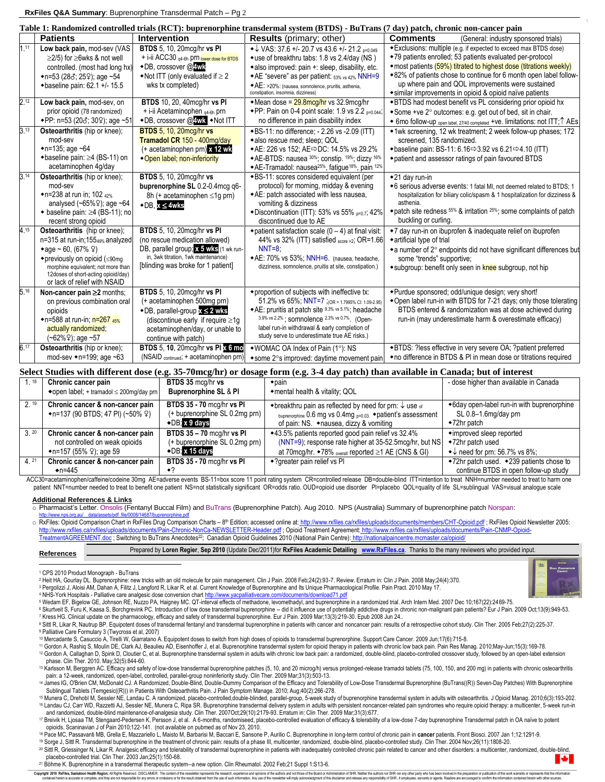## **RxFiles Q&A Summary**: Buprenorphine Transdermal Patch – Pg 2

|          | Table 1: Randomized controlled trials (RCT): buprenorphine transdermal system (BTDS) - BuTrans (7 day) patch, chronic non-cancer pain                                                                                                    |                                                                                                                                                                                                                       |                                                                                                                                                                                                                                                                                                                   |                                                                                                                                                                                                                                                                                                                                                                                           |  |  |  |
|----------|------------------------------------------------------------------------------------------------------------------------------------------------------------------------------------------------------------------------------------------|-----------------------------------------------------------------------------------------------------------------------------------------------------------------------------------------------------------------------|-------------------------------------------------------------------------------------------------------------------------------------------------------------------------------------------------------------------------------------------------------------------------------------------------------------------|-------------------------------------------------------------------------------------------------------------------------------------------------------------------------------------------------------------------------------------------------------------------------------------------------------------------------------------------------------------------------------------------|--|--|--|
|          | <b>Patients</b>                                                                                                                                                                                                                          | Intervention                                                                                                                                                                                                          | <b>Results</b> (primary; other)                                                                                                                                                                                                                                                                                   | <b>Comments</b><br>(General: industry sponsored trials)                                                                                                                                                                                                                                                                                                                                   |  |  |  |
| 1.11     | Low back pain, mod-sev (VAS<br>$\geq$ 2/5) for $\geq$ 6wks & not well<br>controlled. (most had long hx)<br>$\bullet$ n=53 (283; 259); age ~54<br>+baseline pain: 62.1 +/- 15.5                                                           | <b>BTDS</b> 5, 10, 20mcg/hr vs PI<br>+ i-ii ACC30 q4-6h prn lower dose for BTDS<br>◆DB, crossover @4wk<br>$\blacktriangleright$ Not ITT (only evaluated if $\geq 2$<br>wks tx completed)                              | $\bullet\downarrow$ VAS: 37.6 +/- 20.7 vs 43.6 +/- 21.2 p=0.049<br>• use of breakthru tabs: 1.8 vs 2.4/day (NS)<br>*also improved: pain +: sleep, disability, etc.<br>◆AE "severe" as per patient: 53% vs 42% NNH=9<br>◆ AE: >20%: (nausea, somnolence, pruritis, asthenia,<br>constipation, insomnia, dizziness) | *Exclusions: multiple (e.g. if expected to exceed max BTDS dose)<br>◆79 patients enrolled; 53 patients evaluated per-protocol<br>• most patients (59%) titrated to highest dose (titrations weekly)<br>◆82% of patients chose to continue for 6 month open label follow-<br>up where pain and QOL improvements were sustained<br>• similar improvements in opioid & opioid naïve patients |  |  |  |
| 2.12     | Low back pain, mod-sev, on<br>prior opioid (78 randomized)<br>◆PP: n=53 (203; 309); age ~51                                                                                                                                              | <b>BTDS</b> 10, 20, 40mcg/hr vs PI<br>+ i-ii Acetaminophen <sub>94-6h</sub> prn<br>◆DB, crossover @ Wk ◆Not ITT                                                                                                       | • Mean dose = $29.8$ mcg/hr vs 32.9 mcg/hr<br>◆ PP: Pain on 0-4 point scale: 1.9 vs 2.2 $_{0.044}$<br>no difference in pain disability index                                                                                                                                                                      | *BTDS had modest benefit vs PL considering prior opioid hx<br>• Some +ve 2° outcomes: e.g. get out of bed, sit in chair.<br>◆ 6mo follow-up <sub>open label, 27/40 completed</sub> +ve. limitations: not ITT; <sup>†</sup> AEs                                                                                                                                                            |  |  |  |
| 313      | Osteoarthritis (hip or knee);<br>mod-sev<br>$\bullet$ n=135; age ~64<br>$\triangle$ baseline pain: $\geq$ 4 (BS-11) on<br>acetaminophen 4g/day                                                                                           | <b>BTDS</b> 5, 10, 20mcg/hr vs<br>Tramadol CR 150 - 400mg/day<br>$(+$ acetaminophen prn) x 12 wk<br>•Open label; non-inferiority                                                                                      | ◆BS-11: no difference; - 2.26 vs -2.09 (ITT)<br>*also rescue med; sleep; QOL<br>◆AE: 226 vs 152; AE $\Rightarrow$ DC: 14.5% vs 29.2%<br>◆AE-BTDS: nausea 30%; constip. 19%; dizzy 16%<br>◆AE-Tramadol: nausea <sup>25%</sup> , fatique <sup>18%</sup> , pain <sup>12%</sup>                                       | ◆1wk screening, 12 wk treatment; 2 week follow-up phases; 172<br>screened, 135 randomized.<br>◆baseline pain: BS-11: 6.16 $\Rightarrow$ 3.92 vs 6.21 $\Rightarrow$ 4.10 (ITT)<br>*patient and assessor ratings of pain favoured BTDS                                                                                                                                                      |  |  |  |
| 3.14     | Osteoarthritis (hip or knee);<br>mod-sev<br>◆n=238 at run in; 102 42%<br>analysed $(-65\% \t{2})$ ; age $-64$<br>$\bullet$ baseline pain: $\geq$ 4 (BS-11); no<br>recent strong opioid                                                   | <b>BTDS</b> 5, 10, 20mcg/hr vs<br>buprenorphine SL 0.2-0.4mcg q6-<br>8h (+ acetaminophen ≤1g prn)<br>$\bullet$ DB, $x \leq 4$ wks                                                                                     | *BS-11: scores considered equivalent (per<br>protocol) for morning, midday & evening<br>◆ AE: patch associated with less nausea,<br>vomiting & dizziness<br>◆ Discontinuation (ITT): 53% vs 55% p=0.7; 42%<br>discontinued due to AE                                                                              | $\triangle$ 21 day run-in<br>◆6 serious adverse events: 1 fatal MI, not deemed related to BTDS; 1<br>hospitalization for biliary colic/spasm & 1 hospitalization for dizziness &<br>asthenia.<br>$\bullet$ patch site redness $55\%$ & irritation $25\%$ ; some complaints of patch<br>buckling or curling.                                                                               |  |  |  |
| $4^{15}$ | Osteoarthritis (hip or knee);<br>n=315 at run-in;15549% analyzed<br>• age ~ 60, (67% $9$ )<br>◆ previously on opioid (≤90mg<br>morphine equivalent; not more than<br>12doses of short-acting opioid/day)<br>or lack of relief with NSAID | <b>BTDS</b> 5, 10, 20mcg/hr vs PI<br>(no rescue medication allowed)<br>DB, parallel group; x 5 wks (1 wk run-<br>in, 3wk titration, 1wk maintenance)<br>[blinding was broke for 1 patient]                            | $\bullet$ patient satisfaction scale (0 - 4) at final visit:<br>44% vs 32% (ITT) satisfied score >2; OR=1.66<br>$NNT=8$ :<br>◆AE: 70% vs 53%; NNH=6. (nausea, headache,<br>dizziness, somnolence, pruitis at site, constipation.)                                                                                 | ◆7 day run-in on ibuprofen & inadequate relief on ibuprofen<br>*artificial type of trial<br>• a number of $2^\circ$ endpoints did not have significant differences but<br>some "trends" supportive;<br>◆subgroup: benefit only seen in knee subgroup, not hip                                                                                                                             |  |  |  |
| 5.16     | Non-cancer pain ≥2 months;<br>on previous combination oral<br>opioids<br>◆n=588 at run-in: n=267 45%<br>actually randomized;<br>(~62%♀); age ~57                                                                                         | <b>BTDS</b> 5, 10, 20mcg/hr vs PI<br>(+ acetaminophen 500mg prn)<br>$\bullet$ DB, parallel-group $x \leq 2$ wks<br>(discontinue early if require $\geq 1g$<br>acetaminophen/day, or unable to<br>continue with patch) | • proportion of subjects with ineffective tx:<br>51.2% vs 65%; NNT=7; (OR = 1.7995% CI: 1.09-2.95)<br>◆AE: pruritis at patch site 9.3% vs 5.1%; headache<br>3.9% vs 2.2%; somnolence 2.3% vs 0.7%. (Open-<br>label run-in withdrawal & early completion of<br>study serve to underestimate true AE risks.)        | ◆ Purdue sponsored; odd/unique design; very short!<br>*Open label run-in with BTDS for 7-21 days; only those tolerating<br>BTDS entered & randomization was at dose achieved during<br>run-in (may underestimate harm & overestimate efficacy)                                                                                                                                            |  |  |  |
| 6.17     | Osteoarthritis (hip or knee);<br>mod-sev $\bullet$ n=199; age ~63                                                                                                                                                                        | <b>BTDS</b> 5, 10, 20mcg/hr vs Pl x 6 mo<br>(NSAID continued; + acetaminophen prn)                                                                                                                                    | ◆WOMAC OA Index of Pain (1°): NS<br>*some 2°s improved: daytime movement pain                                                                                                                                                                                                                                     | *BTDS: ?less effective in very severe OA; ?patient preferred<br>• no difference in BTDS & PI in mean dose or titrations required                                                                                                                                                                                                                                                          |  |  |  |

| Select Studies with different dose (e.g. 35-70mcg/hr) or dosage form (e.g. 3-4 day patch) than available in Canada; but of interest |                                                         |                                  |                                                                               |                                                |  |  |
|-------------------------------------------------------------------------------------------------------------------------------------|---------------------------------------------------------|----------------------------------|-------------------------------------------------------------------------------|------------------------------------------------|--|--|
| $1^{18}$                                                                                                                            | Chronic cancer pain                                     | BTDS 35 mcg/hr vs                | $\bullet$ pain                                                                | - dose higher than available in Canada         |  |  |
|                                                                                                                                     | $\triangle$ open label; + tramadol $\leq$ 200mg/day prn | <b>Buprenorphine SL &amp; PI</b> | ◆mental health & vitality; QOL                                                |                                                |  |  |
| $2^{19}$                                                                                                                            | Chronic cancer & non-cancer pain                        | BTDS 35 - 70 mcg/hr vs PI        | $\bullet$ breakthru pain as reflected by need for prn: $\downarrow$ use of    | •6day open-label run-in with buprenorphine     |  |  |
|                                                                                                                                     | $\bullet$ n=137 (90 BTDS; 47 PI) (~50% ♀)               | (+ buprenorphine SL 0.2mq prn)   | buprenorphine 0.6 mg vs 0.4mg p=0.03. * patient's assessment                  | SL 0.8-1.6mg/day prn                           |  |  |
|                                                                                                                                     |                                                         | $\triangle$ DB: x 9 davs         | of pain: NS. • nausea, dizzy & vomiting                                       | $\triangleleft$ 72hr patch                     |  |  |
| $3^{20}$                                                                                                                            | Chronic cancer & non-cancer pain                        | <b>BTDS 35 - 70 mcg/hr vs PI</b> | ◆43.5% patients reported good pain relief vs 32.4%                            | ◆improved sleep reported                       |  |  |
|                                                                                                                                     | not controlled on weak opioids                          | (+ buprenorphine SL 0.2mg prn)   | (NNT=9); response rate higher at 35-52.5mcg/hr, but NS                        | ◆72hr patch used                               |  |  |
|                                                                                                                                     | $\bullet$ n=157 (55% ♀); age 59                         | $\bigcirc$ DB; x 15 days         | at 70mcg/hr. $\bullet$ 78% <sub>overall</sub> reported $\geq$ 1 AE (CNS & GI) | $\bullet\downarrow$ need for prn: 56.7% vs 8%; |  |  |
| $4^{21}$                                                                                                                            | Chronic cancer & non-cancer pain                        | BTDS 35 - 70 mcg/hr vs PI        | ◆ ? greater pain relief vs Pl                                                 | ◆72hr patch used. ◆239 patients chose to       |  |  |
|                                                                                                                                     | $\bullet$ n=445                                         |                                  |                                                                               | continue BTDS in open follow-up study          |  |  |

ACC30=acetaminophen/caffeine/codeine 30mg AE=adverse events BS-11=box score 11 point rating system CR=controlled release DB=double-blind ITT=intention to treat NNH=number needed to treat to harm one patient NNT=number needed to treat to benefit one patient NS=not statistically significant OR=odds ratio. OUD=opioid use disorder Pl=placebo QOL=quality of life SL=sublingual VAS=visual analogue scale

## **Additional References & Links**

o Pharmacist's Letter. Onsolis (Fentanyl Buccal Film) and BuTrans (Buprenorphine Patch). Aug 2010. NPS (Australia) Summary of buprenorphine patch Norspan:

<u>http://www.nps.org.au/ \_data/assets/pdf\_file/0008/14687/buprenorphine.pdf</u><br>ഠ RxFiles: Opioid Comparison Chart in RxFiles Drug Comparison Charts – 8<sup>th</sup> Edition; accessed online at<u>: http://www.rxfiles.ca/rxfiles/uploads</u> <http://www.rxfiles.ca/rxfiles/uploads/documents/Pain-Chronic-NonCa-NEWSLETTER-Header.pdf> ; Opioid Treatment Agreement: [http://www.rxfiles.ca/rxfiles/uploads/documents/Pain-CNMP-Opioid-](http://www.rxfiles.ca/rxfiles/uploads/documents/Pain-CNMP-Opioid-TreatmentAGREEMENT.doc)[TreatmentAGREEMENT.doc](http://www.rxfiles.ca/rxfiles/uploads/documents/Pain-CNMP-Opioid-TreatmentAGREEMENT.doc) ; Switching to BuTrans Anecdotes<sup>22</sup>; Canadian Opioid Guidelines 2010 (National Pain Centre): <http://nationalpaincentre.mcmaster.ca/opioid/>

Prepared by **Loren Regier**, **Sep 2010** (Update Dec/2011)for **RxFiles Academic Detailing [www.RxFiles.ca](http://www.rxfiles.ca/)**. Thanks to the many reviewers who provided input.

**References**

l

<sup>2</sup> Heit HA, Gourlay DL. Buprenorphine: new tricks with an old molecule for pain management. Clin J Pain. 2008 Feb;24(2):93-7. Review. Erratum in: Clin J Pain. 2008 May;24(4):370.

<sup>3</sup> Pergolizzi J, Aloisi AM, Dahan A, Filitz J, Langford R, Likar R, et al. Current Knowledge of Buprenorphine and Its Unique Pharmacological Profile. Pain Pract. 2010 May 17.

<sup>4</sup> NHS-York Hospitals - Palliative care analgesic dose conversion char[t http://www.yacpalliativecare.com/documents/download71.pdf](http://www.yacpalliativecare.com/documents/download71.pdf)

<sup>5</sup> Wedam EF, Bigelow GE, Johnson RE, Nuzzo PA, Haigney MC. QT-interval effects of methadone, levomethadyl, and buprenorphine in a randomized trial. Arch Intern Med. 2007 Dec 10;167(22):2469-75.

6 Skurtveit S, Furu K, Kaasa S, Borchgrevink PC. Introduction of low dose transdermal buprenorphine - did it influence use of potentially addictive drugs in chronic non-malignant pain patients? Eur J Pain. 2009 Oct;13(9):9 <sup>7</sup> Kress HG. Clinical update on the pharmacology, efficacy and safety of transdermal buprenorphine. Eur J Pain. 2009 Mar;13(3):219-30. Epub 2008 Jun 24..

<sup>8</sup> Sittl R, Likar R, Nautrup BP. Equipotent doses of transdermal fentanyl and transdermal buprenorphine in patients with cancer and noncancer pain: results of a retrospective cohort study. Clin Ther. 2005 Feb;27(2):225-37. <sup>9</sup> Palliative Care Formulary 3 (Twycross et al, 2007)

<sup>10</sup> Mercadante S, Casuccio A, Tirelli W, Giarratano A. Equipotent doses to switch from high doses of opioids to transdermal buprenorphine. Support Care Cancer. 2009 Jun;17(6):715-8.

<sup>11</sup> Gordon A, Rashiq S, Moulin DE, Clark AJ, Beaulieu AD, Eisenhoffer J, et al. Buprenorphine transdermal system for opioid therapy in patients with chronic low back pain. Pain Res Manag. 2010;May-Jun;15(3):169-78.

12 Gordon A, Callaghan D, Spink D, Cloutier C, et al. Buprenorphine transdermal system in adults with chronic low back pain: a randomized, double-blind, placebo-controlled crossover study, followed by an open-label extensi phase. Clin Ther. 2010. May;32(5):844-60.

13 Karlsson M, Berggren AC. Efficacy and safety of low-dose transdermal buprenorphine patches (5, 10, and 20 microg/h) versus prolonged-release tramadol tablets (75, 100, 150, and 200 mg) in patients with chronic osteoart

Sublingual Tablets (Temgesic((R))) in Patients With Osteoarthritis Pain. J Pain Symptom Manage. 2010; Aug;40(2):266-278.

15 Munera C, Drehobl M, Sessler NE, Landau C. A randomized, placebo-controlled,double-blinded, parallel-group, 5-week study of buprenorphine transdermal system in adults with osteoarthritis. J Opioid Manag. 2010;6(3):193-2 <sup>16</sup> Landau CJ, Carr WD, Razzetti AJ, Sessler NE, Munera C, Ripa SR. Buprenorphine transdermal delivery system in adults with persistent noncancer-related pain syndromes who require opioid therapy: a multicenter, 5-week run-in

and randomized, double-blind maintenance-of-analgesia study. Clin Ther. 2007Oct;29(10):2179-93. Erratum in: Clin Ther. 2009 Mar;31(3):677.<br>17 Breivik H, Ljosaa TM, Stengaard-Pedersen K, Persson J, et al. A 6-months, random opioids. Scaninavian J of Pain 2010;122-141. (not available on pubmed as of Nov 23, 2010.

<sup>18</sup> Pace MC, Passavanti MB, Grella E, Mazzariello L, Maisto M, Barbarisi M, Baccari E, Sansone P, Aurilio C. Buprenorphine in long-term control of chronic pain in cancer patients. Front Biosci. 2007 Jan 1;12:1291-9.

<sup>19</sup> Sorge J, Sittl R. Transdermal buprenorphine in the treatment of chronic pain: results of a phase III, multicenter, randomized, double-blind, placebo-controlled study. Clin Ther. 2004 Nov;26(11):1808-20.

20 Sittl R, Griessinger N, Likar R. Analgesic efficacy and tolerability of transdermal buprenorphine in patients with inadequately controlled chronic pain related to cancer and other disorders: a multicenter, randomized, d

placebo-controlled trial. Clin Ther. 2003 Jan;25(1):150-68.

<sup>21</sup> Böhme K. Buprenorphine in a transdermal therapeutic system--a new option. Clin Rheumatol. 2002 Feb;21 Suppl 1:S13-6.

Copyright 2019 Except and Reduce National Discussions of the model of the model of the model of the computation and and the computation of the computation of the computation of the computation of the computation of the com



<sup>1</sup> CPS 2010 Product Monograph - BuTrans